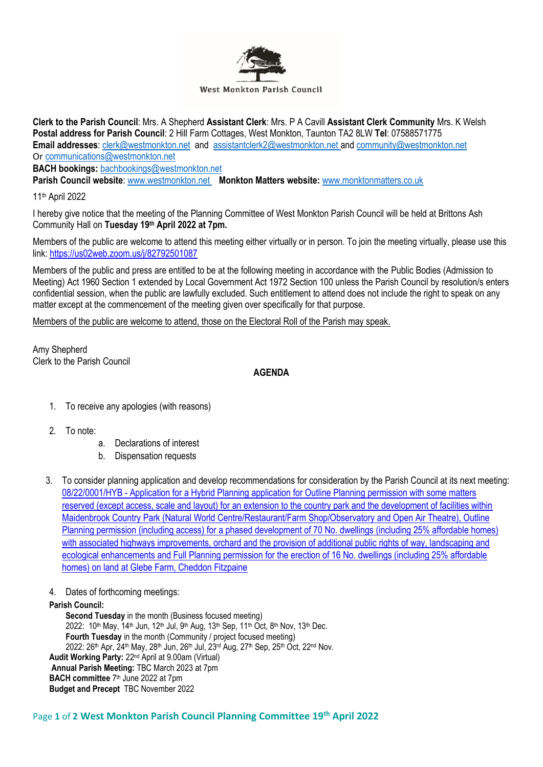

**Clerk to the Parish Council**: Mrs. A Shepherd **Assistant Clerk**: Mrs. P A Cavill **Assistant Clerk Community** Mrs. K Welsh **Postal address for Parish Council**: 2 Hill Farm Cottages, West Monkton, Taunton TA2 8LW **Tel**: 07588571775 **Email addresses**: [clerk@westmonkton.net](mailto:clerk@westmonkton.net) and [assistantclerk2@westmonkton.net](mailto:assistantclerk2@westmonkton.net) and [community@westmonkton.net](mailto:community@westmonkton.net) Or [communications@westmonkton.net](mailto:communications@westmonkton.net)

**BACH bookings:** [bachbookings@westmonkton.net](mailto:bachbookings@westmonkton.net)

**Parish Council website**: [www.westmonkton.net](http://www.westmonkton.net/) **Monkton Matters website:** [www.monktonmatters.co.uk](http://www.monktonmatters.co.uk/)

11th April 2022

I hereby give notice that the meeting of the Planning Committee of West Monkton Parish Council will be held at Brittons Ash Community Hall on **Tuesday 19th April 2022 at 7pm.**

Members of the public are welcome to attend this meeting either virtually or in person. To join the meeting virtually, please use this link: <https://us02web.zoom.us/j/82792501087>

Members of the public and press are entitled to be at the following meeting in accordance with the Public Bodies (Admission to Meeting) Act 1960 Section 1 extended by Local Government Act 1972 Section 100 unless the Parish Council by resolution/s enters confidential session, when the public are lawfully excluded. Such entitlement to attend does not include the right to speak on any matter except at the commencement of the meeting given over specifically for that purpose.

Members of the public are welcome to attend, those on the Electoral Roll of the Parish may speak.

Amy Shepherd Clerk to the Parish Council

## **AGENDA**

- 1. To receive any apologies (with reasons)
- 2. To note:
	- a. Declarations of interest
	- b. Dispensation requests
- 3. To consider planning application and develop recommendations for consideration by the Parish Council at its next meeting: 08/22/0001/HYB - [Application for a Hybrid Planning application for Outline Planning permission with some matters](https://www3.somersetwestandtaunton.gov.uk/asp/webpages/plan/PlAppDets.asp?casefullref=08/22/0001/HYB&QC=z8XC1)  [reserved \(except access, scale and layout\) for an extension to the country park and the development of facilities within](https://www3.somersetwestandtaunton.gov.uk/asp/webpages/plan/PlAppDets.asp?casefullref=08/22/0001/HYB&QC=z8XC1)  [Maidenbrook Country Park \(Natural World Centre/Restaurant/Farm Shop/Observatory and Open Air Theatre\), Outline](https://www3.somersetwestandtaunton.gov.uk/asp/webpages/plan/PlAppDets.asp?casefullref=08/22/0001/HYB&QC=z8XC1)  Planning permission (including access) for [a phased development of 70 No. dwellings \(including 25% affordable homes\)](https://www3.somersetwestandtaunton.gov.uk/asp/webpages/plan/PlAppDets.asp?casefullref=08/22/0001/HYB&QC=z8XC1)  with associated highways improvements, orchard and the provision of additional public rights of way, landscaping and [ecological enhancements and Full Planning permission for the erection of 16 No. dwellings \(including 25% affordable](https://www3.somersetwestandtaunton.gov.uk/asp/webpages/plan/PlAppDets.asp?casefullref=08/22/0001/HYB&QC=z8XC1)  [homes\) on land at Glebe Farm, Cheddon Fitzpaine](https://www3.somersetwestandtaunton.gov.uk/asp/webpages/plan/PlAppDets.asp?casefullref=08/22/0001/HYB&QC=z8XC1)
- 4. Dates of forthcoming meetings:

**Parish Council:**

**Second Tuesday** in the month (Business focused meeting) 2022:  $10^{th}$  May,  $14^{th}$  Jun,  $12^{th}$  Jul,  $9^{th}$  Aug,  $13^{th}$  Sep,  $11^{th}$  Oct,  $8^{th}$  Nov,  $13^{th}$  Dec. **Fourth Tuesday** in the month (Community / project focused meeting) 2022: 26th Apr, 24th May, 28th Jun, 26th Jul, 23rd Aug, 27th Sep, 25th Oct, 22nd Nov. **Audit Working Party:** 22nd April at 9.00am (Virtual)  **Annual Parish Meeting:** TBC March 2023 at 7pm **BACH committee** 7<sup>th</sup> June 2022 at 7pm **Budget and Precept** TBC November 2022